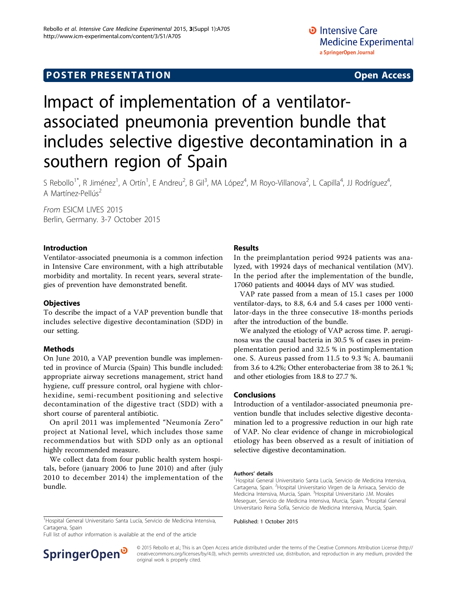# **POSTER PRESENTATION CONSUMING THE SERVICE SERVICE SERVICES**

# Impact of implementation of a ventilatorassociated pneumonia prevention bundle that includes selective digestive decontamination in a southern region of Spain

S Rebollo<sup>1\*</sup>, R Jiménez<sup>1</sup>, A Ortín<sup>1</sup>, E Andreu<sup>2</sup>, B Gil<sup>3</sup>, MA López<sup>4</sup>, M Royo-Villanova<sup>2</sup>, L Capilla<sup>4</sup>, JJ Rodríguez<sup>4</sup> , A Martínez-Pellús<sup>2</sup>

From ESICM LIVES 2015 Berlin, Germany. 3-7 October 2015

### Introduction

Ventilator-associated pneumonia is a common infection in Intensive Care environment, with a high attributable morbidity and mortality. In recent years, several strategies of prevention have demonstrated benefit.

# **Objectives**

To describe the impact of a VAP prevention bundle that includes selective digestive decontamination (SDD) in our setting.

### Methods

On June 2010, a VAP prevention bundle was implemented in province of Murcia (Spain) This bundle included: appropriate airway secretions management, strict hand hygiene, cuff pressure control, oral hygiene with chlorhexidine, semi-recumbent positioning and selective decontamination of the digestive tract (SDD) with a short course of parenteral antibiotic.

On april 2011 was implemented "Neumonía Zero" project at National level, which includes those same recommendatios but with SDD only as an optional highly recommended measure.

We collect data from four public health system hospitals, before (january 2006 to June 2010) and after (july 2010 to december 2014) the implementation of the bundle.

#### <sup>1</sup>Hospital General Universitario Santa Lucía, Servicio de Medicina Intensiva, **Published: 1 October 2015** Cartagena, Spain

Full list of author information is available at the end of the article

# Results

In the preimplantation period 9924 patients was analyzed, with 19924 days of mechanical ventilation (MV). In the period after the implementation of the bundle, 17060 patients and 40044 days of MV was studied.

VAP rate passed from a mean of 15.1 cases per 1000 ventilator-days, to 8.8, 6.4 and 5.4 cases per 1000 ventilator-days in the three consecutive 18-months periods after the introduction of the bundle.

We analyzed the etiology of VAP across time. P. aeruginosa was the causal bacteria in 30.5 % of cases in preimplementation period and 32.5 % in postimplementation one. S. Aureus passed from 11.5 to 9.3 %; A. baumanii from 3.6 to 4.2%; Other enterobacteriae from 38 to 26.1 %; and other etiologies from 18.8 to 27.7 %.

### Conclusions

Introduction of a ventilador-associated pneumonia prevention bundle that includes selective digestive decontamination led to a progressive reduction in our high rate of VAP. No clear evidence of change in microbiological etiology has been observed as a result of initiation of selective digestive decontamination.

#### Authors' details <sup>1</sup>

<sup>1</sup>Hospital General Universitario Santa Lucía, Servicio de Medicina Intensiva, Cartagena, Spain. <sup>2</sup> Hospital Universitario Virgen de la Arrixaca, Servicio de Medicina Intensiva, Murcia, Spain. <sup>3</sup>Hospital Universitario J.M. Morales Meseguer, Servicio de Medicina Intensiva, Murcia, Spain. <sup>4</sup>Hospital General Universitario Reina Sofía, Servicio de Medicina Intensiva, Murcia, Spain.



© 2015 Rebollo et al.; This is an Open Access article distributed under the terms of the Creative Commons Attribution License [\(http://](http://creativecommons.org/licenses/by/4.0) [creativecommons.org/licenses/by/4.0](http://creativecommons.org/licenses/by/4.0)), which permits unrestricted use, distribution, and reproduction in any medium, provided the original work is properly cited.